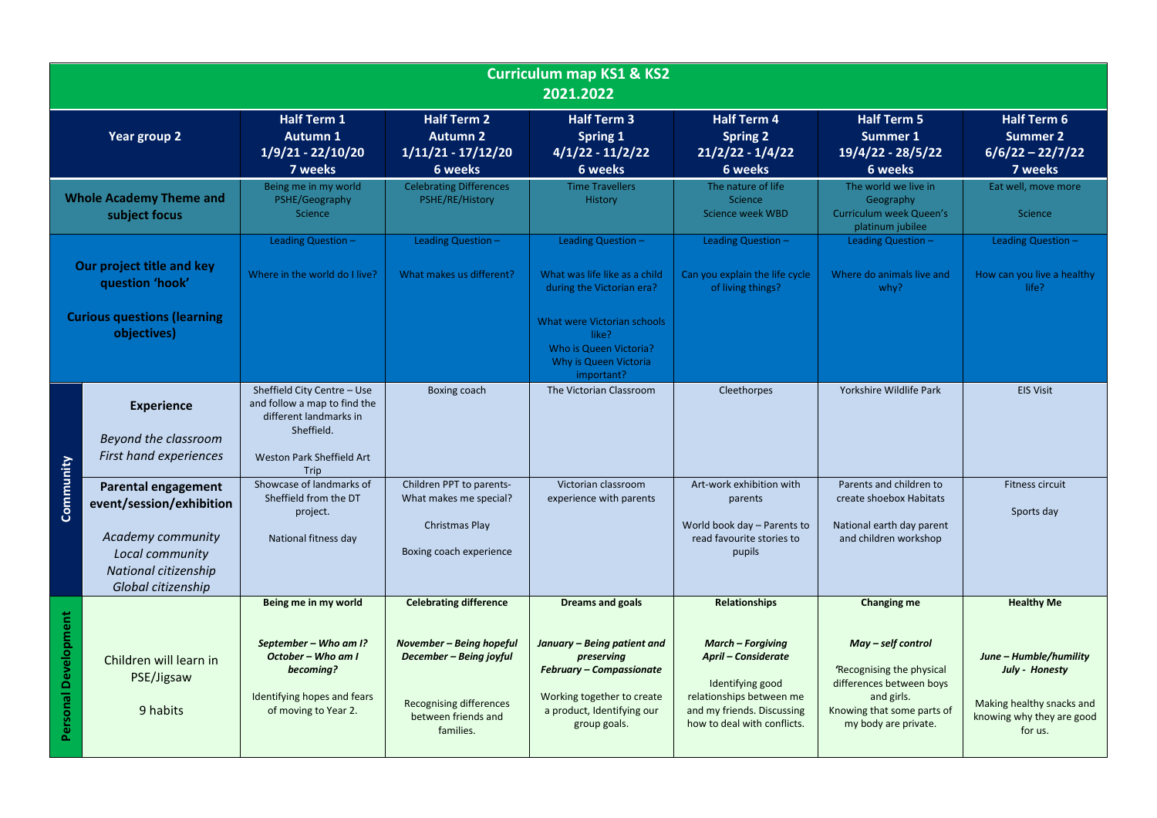|                                                                                    | <b>Curriculum map KS1 &amp; KS2</b><br>2021.2022                                                                                             |                                                                                                                                          |                                                                                                                                                            |                                                                                                                                                                                     |                                                                                                                                                                                             |                                                                                                                                                                |                                                                                                                                    |  |
|------------------------------------------------------------------------------------|----------------------------------------------------------------------------------------------------------------------------------------------|------------------------------------------------------------------------------------------------------------------------------------------|------------------------------------------------------------------------------------------------------------------------------------------------------------|-------------------------------------------------------------------------------------------------------------------------------------------------------------------------------------|---------------------------------------------------------------------------------------------------------------------------------------------------------------------------------------------|----------------------------------------------------------------------------------------------------------------------------------------------------------------|------------------------------------------------------------------------------------------------------------------------------------|--|
|                                                                                    | Year group 2                                                                                                                                 | <b>Half Term 1</b><br><b>Autumn 1</b><br>$1/9/21 - 22/10/20$<br>7 weeks                                                                  | <b>Half Term 2</b><br><b>Autumn 2</b><br>$1/11/21 - 17/12/20$<br>6 weeks                                                                                   | <b>Half Term 3</b><br><b>Spring 1</b><br>$4/1/22 - 11/2/22$<br>6 weeks                                                                                                              | <b>Half Term 4</b><br><b>Spring 2</b><br>$21/2/22 - 1/4/22$<br>6 weeks                                                                                                                      | <b>Half Term 5</b><br>Summer 1<br>19/4/22 - 28/5/22<br>6 weeks                                                                                                 | <b>Half Term 6</b><br><b>Summer 2</b><br>$6/6/22 - 22/7/22$<br>7 weeks                                                             |  |
| <b>Whole Academy Theme and</b><br>subject focus                                    |                                                                                                                                              | Being me in my world<br>PSHE/Geography<br>Science                                                                                        | <b>Celebrating Differences</b><br>PSHE/RE/History                                                                                                          | <b>Time Travellers</b><br><b>History</b>                                                                                                                                            | The nature of life<br><b>Science</b><br>Science week WBD                                                                                                                                    | The world we live in<br>Geography<br>Curriculum week Queen's<br>platinum jubilee                                                                               | Eat well, move more<br>Science                                                                                                     |  |
| Our project title and key<br>question 'hook'<br><b>Curious questions (learning</b> |                                                                                                                                              | Leading Question -<br>Where in the world do I live?                                                                                      | Leading Question -<br>What makes us different?                                                                                                             | Leading Question -<br>What was life like as a child<br>during the Victorian era?<br>What were Victorian schools                                                                     | Leading Question -<br>Can you explain the life cycle<br>of living things?                                                                                                                   | Leading Question -<br>Where do animals live and<br>whv?                                                                                                        | Leading Question -<br>How can you live a healthy<br>life?                                                                          |  |
| objectives)                                                                        |                                                                                                                                              |                                                                                                                                          |                                                                                                                                                            | like?<br>Who is Queen Victoria?<br>Why is Queen Victoria<br>important?                                                                                                              |                                                                                                                                                                                             |                                                                                                                                                                |                                                                                                                                    |  |
| Community                                                                          | <b>Experience</b><br>Beyond the classroom<br>First hand experiences                                                                          | Sheffield City Centre - Use<br>and follow a map to find the<br>different landmarks in<br>Sheffield.<br>Weston Park Sheffield Art<br>Trip | Boxing coach                                                                                                                                               | The Victorian Classroom                                                                                                                                                             | Cleethorpes                                                                                                                                                                                 | Yorkshire Wildlife Park                                                                                                                                        | <b>EIS Visit</b>                                                                                                                   |  |
|                                                                                    | <b>Parental engagement</b><br>event/session/exhibition<br>Academy community<br>Local community<br>National citizenship<br>Global citizenship | Showcase of landmarks of<br>Sheffield from the DT<br>project.<br>National fitness day                                                    | Children PPT to parents-<br>What makes me special?<br>Christmas Play<br>Boxing coach experience                                                            | Victorian classroom<br>experience with parents                                                                                                                                      | Art-work exhibition with<br>parents<br>World book day - Parents to<br>read favourite stories to<br>pupils                                                                                   | Parents and children to<br>create shoebox Habitats<br>National earth day parent<br>and children workshop                                                       | <b>Fitness circuit</b><br>Sports day                                                                                               |  |
| <b>Personal Development</b>                                                        | Children will learn in<br>PSE/Jigsaw<br>9 habits                                                                                             | Being me in my world<br>September - Who am I?<br>October - Who am I<br>becoming?<br>Identifying hopes and fears<br>of moving to Year 2.  | <b>Celebrating difference</b><br>November - Being hopeful<br>December - Being joyful<br><b>Recognising differences</b><br>between friends and<br>families. | <b>Dreams and goals</b><br>January - Being patient and<br>preserving<br><b>February - Compassionate</b><br>Working together to create<br>a product, Identifying our<br>group goals. | <b>Relationships</b><br><b>March - Forgiving</b><br><b>April - Considerate</b><br>Identifying good<br>relationships between me<br>and my friends. Discussing<br>how to deal with conflicts. | Changing me<br>May - self control<br>'Recognising the physical<br>differences between boys<br>and girls.<br>Knowing that some parts of<br>my body are private. | <b>Healthy Me</b><br>June - Humble/humility<br>July - Honesty<br>Making healthy snacks and<br>knowing why they are good<br>for us. |  |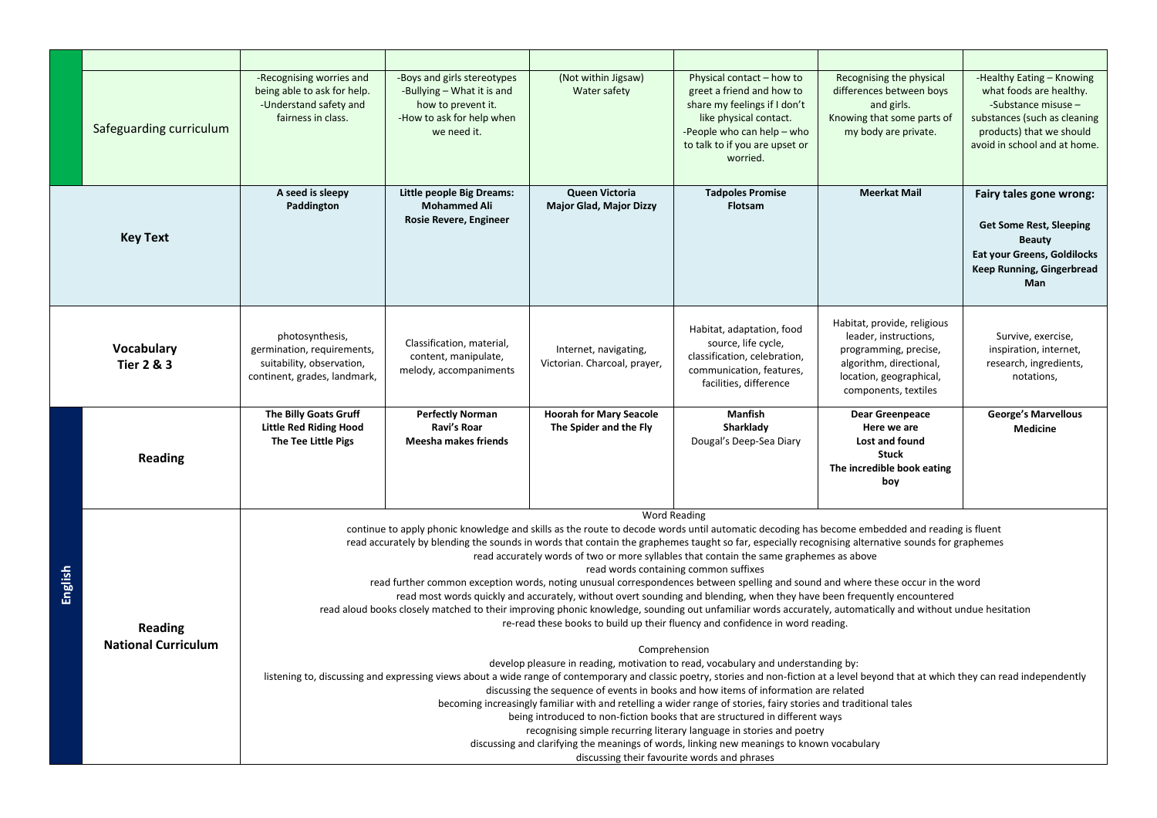|         | Safeguarding curriculum                      | -Recognising worries and<br>being able to ask for help.<br>-Understand safety and<br>fairness in class.                                                                                                                                                                                                                                                                                                                                                                                                                                                                                                                                                                                                                                                                                                                                                                                                                                                                                                                                                                                                                                                                                                                                                                                                                                                                                                                                                                                                                                                                                                                                                                                                                                                                                     | -Boys and girls stereotypes<br>-Bullying - What it is and<br>how to prevent it.<br>-How to ask for help when<br>we need it. | (Not within Jigsaw)<br>Water safety                      | Physical contact - how to<br>greet a friend and how to<br>share my feelings if I don't<br>like physical contact.<br>-People who can help - who<br>to talk to if you are upset or<br>worried. | Recognising the physical<br>differences between boys<br>and girls.<br>Knowing that some parts of<br>my body are private.                                    | -Healthy Eating - Knowing<br>what foods are healthy.<br>-Substance misuse -<br>substances (such as cleaning<br>products) that we should<br>avoid in school and at home. |  |
|---------|----------------------------------------------|---------------------------------------------------------------------------------------------------------------------------------------------------------------------------------------------------------------------------------------------------------------------------------------------------------------------------------------------------------------------------------------------------------------------------------------------------------------------------------------------------------------------------------------------------------------------------------------------------------------------------------------------------------------------------------------------------------------------------------------------------------------------------------------------------------------------------------------------------------------------------------------------------------------------------------------------------------------------------------------------------------------------------------------------------------------------------------------------------------------------------------------------------------------------------------------------------------------------------------------------------------------------------------------------------------------------------------------------------------------------------------------------------------------------------------------------------------------------------------------------------------------------------------------------------------------------------------------------------------------------------------------------------------------------------------------------------------------------------------------------------------------------------------------------|-----------------------------------------------------------------------------------------------------------------------------|----------------------------------------------------------|----------------------------------------------------------------------------------------------------------------------------------------------------------------------------------------------|-------------------------------------------------------------------------------------------------------------------------------------------------------------|-------------------------------------------------------------------------------------------------------------------------------------------------------------------------|--|
|         | <b>Key Text</b>                              | A seed is sleepy<br>Paddington                                                                                                                                                                                                                                                                                                                                                                                                                                                                                                                                                                                                                                                                                                                                                                                                                                                                                                                                                                                                                                                                                                                                                                                                                                                                                                                                                                                                                                                                                                                                                                                                                                                                                                                                                              | <b>Little people Big Dreams:</b><br><b>Mohammed Ali</b><br>Rosie Revere, Engineer                                           | Queen Victoria<br><b>Major Glad, Major Dizzy</b>         | <b>Tadpoles Promise</b><br>Flotsam                                                                                                                                                           | <b>Meerkat Mail</b>                                                                                                                                         | Fairy tales gone wrong:<br><b>Get Some Rest, Sleeping</b><br><b>Beauty</b><br><b>Eat your Greens, Goldilocks</b><br>Keep Running, Gingerbread<br><b>Man</b>             |  |
|         | Vocabulary<br><b>Tier 2 &amp; 3</b>          | photosynthesis,<br>germination, requirements,<br>suitability, observation,<br>continent, grades, landmark,                                                                                                                                                                                                                                                                                                                                                                                                                                                                                                                                                                                                                                                                                                                                                                                                                                                                                                                                                                                                                                                                                                                                                                                                                                                                                                                                                                                                                                                                                                                                                                                                                                                                                  | Classification, material,<br>content, manipulate,<br>melody, accompaniments                                                 | Internet, navigating,<br>Victorian. Charcoal, prayer,    | Habitat, adaptation, food<br>source, life cycle,<br>classification, celebration,<br>communication, features,<br>facilities, difference                                                       | Habitat, provide, religious<br>leader, instructions,<br>programming, precise,<br>algorithm, directional,<br>location, geographical,<br>components, textiles | Survive, exercise,<br>inspiration, internet,<br>research, ingredients,<br>notations,                                                                                    |  |
|         | <b>Reading</b>                               | The Billy Goats Gruff<br><b>Little Red Riding Hood</b><br>The Tee Little Pigs                                                                                                                                                                                                                                                                                                                                                                                                                                                                                                                                                                                                                                                                                                                                                                                                                                                                                                                                                                                                                                                                                                                                                                                                                                                                                                                                                                                                                                                                                                                                                                                                                                                                                                               | <b>Perfectly Norman</b><br>Ravi's Roar<br>Meesha makes friends                                                              | <b>Hoorah for Mary Seacole</b><br>The Spider and the Fly | Manfish<br>Sharklady<br>Dougal's Deep-Sea Diary                                                                                                                                              | <b>Dear Greenpeace</b><br>Here we are<br>Lost and found<br><b>Stuck</b><br>The incredible book eating<br>boy                                                | <b>George's Marvellous</b><br><b>Medicine</b>                                                                                                                           |  |
| English | <b>Reading</b><br><b>National Curriculum</b> | <b>Word Reading</b><br>continue to apply phonic knowledge and skills as the route to decode words until automatic decoding has become embedded and reading is fluent<br>read accurately by blending the sounds in words that contain the graphemes taught so far, especially recognising alternative sounds for graphemes<br>read accurately words of two or more syllables that contain the same graphemes as above<br>read words containing common suffixes<br>read further common exception words, noting unusual correspondences between spelling and sound and where these occur in the word<br>read most words quickly and accurately, without overt sounding and blending, when they have been frequently encountered<br>read aloud books closely matched to their improving phonic knowledge, sounding out unfamiliar words accurately, automatically and without undue hesitation<br>re-read these books to build up their fluency and confidence in word reading.<br>Comprehension<br>develop pleasure in reading, motivation to read, vocabulary and understanding by:<br>listening to, discussing and expressing views about a wide range of contemporary and classic poetry, stories and non-fiction at a level beyond that at which they can read independently<br>discussing the sequence of events in books and how items of information are related<br>becoming increasingly familiar with and retelling a wider range of stories, fairy stories and traditional tales<br>being introduced to non-fiction books that are structured in different ways<br>recognising simple recurring literary language in stories and poetry<br>discussing and clarifying the meanings of words, linking new meanings to known vocabulary<br>discussing their favourite words and phrases |                                                                                                                             |                                                          |                                                                                                                                                                                              |                                                                                                                                                             |                                                                                                                                                                         |  |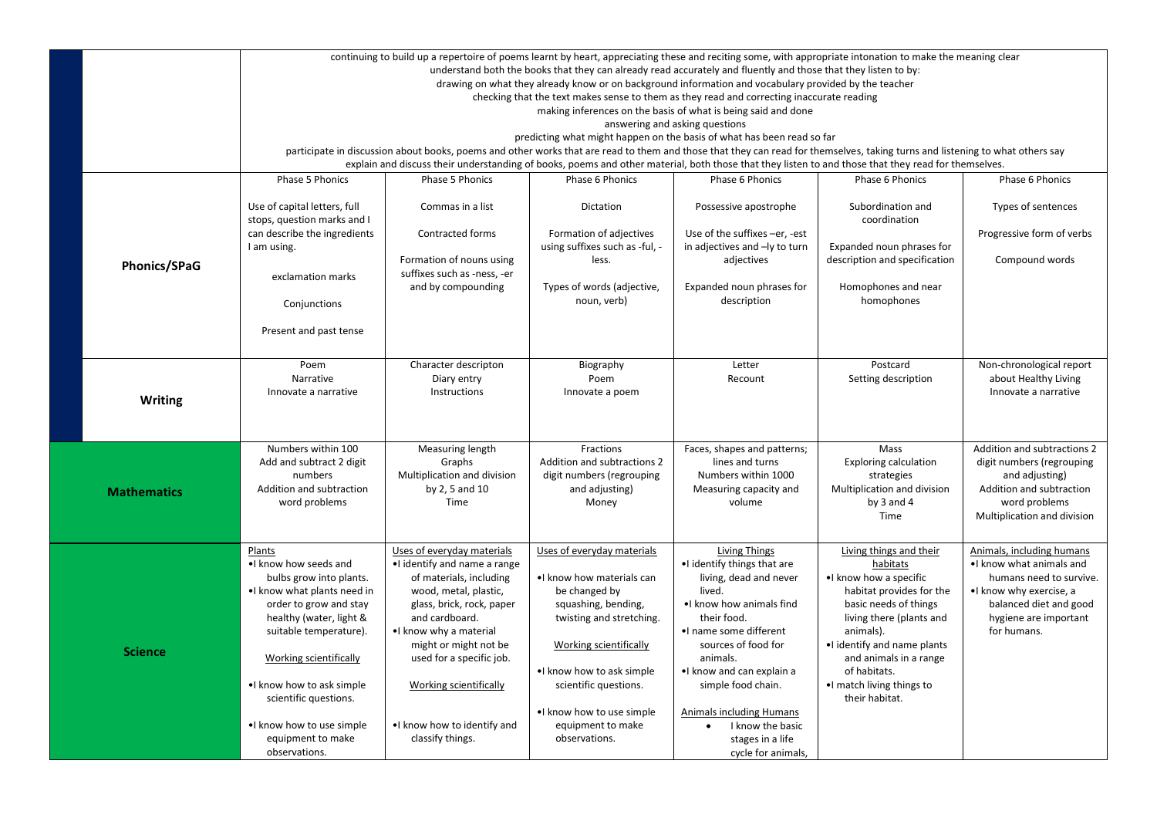|  |                    | continuing to build up a repertoire of poems learnt by heart, appreciating these and reciting some, with appropriate intonation to make the meaning clear<br>understand both the books that they can already read accurately and fluently and those that they listen to by:<br>drawing on what they already know or on background information and vocabulary provided by the teacher |                                                                                                                                                                                                                                                                                                                                      |                                                                                                                                                        |                                                                                                                                                                                            |                                                                                                                                                                                                                        |                                                                                                                                                                                 |  |  |  |  |
|--|--------------------|--------------------------------------------------------------------------------------------------------------------------------------------------------------------------------------------------------------------------------------------------------------------------------------------------------------------------------------------------------------------------------------|--------------------------------------------------------------------------------------------------------------------------------------------------------------------------------------------------------------------------------------------------------------------------------------------------------------------------------------|--------------------------------------------------------------------------------------------------------------------------------------------------------|--------------------------------------------------------------------------------------------------------------------------------------------------------------------------------------------|------------------------------------------------------------------------------------------------------------------------------------------------------------------------------------------------------------------------|---------------------------------------------------------------------------------------------------------------------------------------------------------------------------------|--|--|--|--|
|  |                    | checking that the text makes sense to them as they read and correcting inaccurate reading<br>making inferences on the basis of what is being said and done<br>answering and asking questions                                                                                                                                                                                         |                                                                                                                                                                                                                                                                                                                                      |                                                                                                                                                        |                                                                                                                                                                                            |                                                                                                                                                                                                                        |                                                                                                                                                                                 |  |  |  |  |
|  |                    |                                                                                                                                                                                                                                                                                                                                                                                      | predicting what might happen on the basis of what has been read so far                                                                                                                                                                                                                                                               |                                                                                                                                                        |                                                                                                                                                                                            |                                                                                                                                                                                                                        |                                                                                                                                                                                 |  |  |  |  |
|  |                    |                                                                                                                                                                                                                                                                                                                                                                                      | participate in discussion about books, poems and other works that are read to them and those that they can read for themselves, taking turns and listening to what others say<br>explain and discuss their understanding of books, poems and other material, both those that they listen to and those that they read for themselves. |                                                                                                                                                        |                                                                                                                                                                                            |                                                                                                                                                                                                                        |                                                                                                                                                                                 |  |  |  |  |
|  |                    | Phase 5 Phonics                                                                                                                                                                                                                                                                                                                                                                      | Phase 5 Phonics                                                                                                                                                                                                                                                                                                                      | Phase 6 Phonics                                                                                                                                        | Phase 6 Phonics                                                                                                                                                                            | Phase 6 Phonics                                                                                                                                                                                                        | Phase 6 Phonics                                                                                                                                                                 |  |  |  |  |
|  |                    | Use of capital letters, full<br>stops, question marks and I                                                                                                                                                                                                                                                                                                                          | Commas in a list                                                                                                                                                                                                                                                                                                                     | Dictation                                                                                                                                              | Possessive apostrophe                                                                                                                                                                      | Subordination and<br>coordination                                                                                                                                                                                      | Types of sentences                                                                                                                                                              |  |  |  |  |
|  |                    | can describe the ingredients<br>I am using.                                                                                                                                                                                                                                                                                                                                          | Contracted forms                                                                                                                                                                                                                                                                                                                     | Formation of adjectives<br>using suffixes such as -ful, -                                                                                              | Use of the suffixes -er, -est<br>in adjectives and -ly to turn                                                                                                                             | Expanded noun phrases for                                                                                                                                                                                              | Progressive form of verbs                                                                                                                                                       |  |  |  |  |
|  |                    |                                                                                                                                                                                                                                                                                                                                                                                      | Formation of nouns using                                                                                                                                                                                                                                                                                                             | less.                                                                                                                                                  | adjectives                                                                                                                                                                                 | description and specification                                                                                                                                                                                          | Compound words                                                                                                                                                                  |  |  |  |  |
|  | Phonics/SPaG       | exclamation marks                                                                                                                                                                                                                                                                                                                                                                    | suffixes such as -ness, -er                                                                                                                                                                                                                                                                                                          |                                                                                                                                                        |                                                                                                                                                                                            |                                                                                                                                                                                                                        |                                                                                                                                                                                 |  |  |  |  |
|  |                    | Conjunctions                                                                                                                                                                                                                                                                                                                                                                         | and by compounding                                                                                                                                                                                                                                                                                                                   | Types of words (adjective,<br>noun, verb)                                                                                                              | Expanded noun phrases for<br>description                                                                                                                                                   | Homophones and near<br>homophones                                                                                                                                                                                      |                                                                                                                                                                                 |  |  |  |  |
|  |                    | Present and past tense                                                                                                                                                                                                                                                                                                                                                               |                                                                                                                                                                                                                                                                                                                                      |                                                                                                                                                        |                                                                                                                                                                                            |                                                                                                                                                                                                                        |                                                                                                                                                                                 |  |  |  |  |
|  | <b>Writing</b>     | Poem<br>Narrative<br>Innovate a narrative                                                                                                                                                                                                                                                                                                                                            | Character descripton<br>Diary entry<br>Instructions                                                                                                                                                                                                                                                                                  | Biography<br>Poem<br>Innovate a poem                                                                                                                   | Letter<br>Recount                                                                                                                                                                          | Postcard<br>Setting description                                                                                                                                                                                        | Non-chronological report<br>about Healthy Living<br>Innovate a narrative                                                                                                        |  |  |  |  |
|  |                    | Numbers within 100                                                                                                                                                                                                                                                                                                                                                                   |                                                                                                                                                                                                                                                                                                                                      | Fractions                                                                                                                                              |                                                                                                                                                                                            | Mass                                                                                                                                                                                                                   | Addition and subtractions 2                                                                                                                                                     |  |  |  |  |
|  | <b>Mathematics</b> | Add and subtract 2 digit<br>numbers<br>Addition and subtraction<br>word problems                                                                                                                                                                                                                                                                                                     | Measuring length<br>Graphs<br>Multiplication and division<br>by 2, 5 and 10<br>Time                                                                                                                                                                                                                                                  | Addition and subtractions 2<br>digit numbers (regrouping<br>and adjusting)<br>Money                                                                    | Faces, shapes and patterns;<br>lines and turns<br>Numbers within 1000<br>Measuring capacity and<br>volume                                                                                  | <b>Exploring calculation</b><br>strategies<br>Multiplication and division<br>by 3 and 4<br>Time                                                                                                                        | digit numbers (regrouping<br>and adjusting)<br>Addition and subtraction<br>word problems<br>Multiplication and division                                                         |  |  |  |  |
|  | <b>Science</b>     | Plants<br>. I know how seeds and<br>bulbs grow into plants.<br>. I know what plants need in<br>order to grow and stay<br>healthy (water, light &<br>suitable temperature).<br>Working scientifically                                                                                                                                                                                 | Uses of everyday materials<br>. I identify and name a range<br>of materials, including<br>wood, metal, plastic,<br>glass, brick, rock, paper<br>and cardboard.<br>. I know why a material<br>might or might not be<br>used for a specific job.                                                                                       | Uses of everyday materials<br>. I know how materials can<br>be changed by<br>squashing, bending,<br>twisting and stretching.<br>Working scientifically | Living Things<br>. I identify things that are<br>living, dead and never<br>lived.<br>. I know how animals find<br>their food.<br>•I name some different<br>sources of food for<br>animals. | Living things and their<br>habitats<br>. I know how a specific<br>habitat provides for the<br>basic needs of things<br>living there (plants and<br>animals).<br>. I identify and name plants<br>and animals in a range | Animals, including humans<br>. I know what animals and<br>humans need to survive.<br>. I know why exercise, a<br>balanced diet and good<br>hygiene are important<br>for humans. |  |  |  |  |
|  |                    | . I know how to ask simple<br>scientific questions.<br>. I know how to use simple<br>equipment to make<br>observations.                                                                                                                                                                                                                                                              | Working scientifically<br>. I know how to identify and<br>classify things.                                                                                                                                                                                                                                                           | . I know how to ask simple<br>scientific questions.<br>. I know how to use simple<br>equipment to make<br>observations.                                | . I know and can explain a<br>simple food chain.<br>Animals including Humans<br>I know the basic<br>stages in a life<br>cycle for animals,                                                 | of habitats.<br>. I match living things to<br>their habitat.                                                                                                                                                           |                                                                                                                                                                                 |  |  |  |  |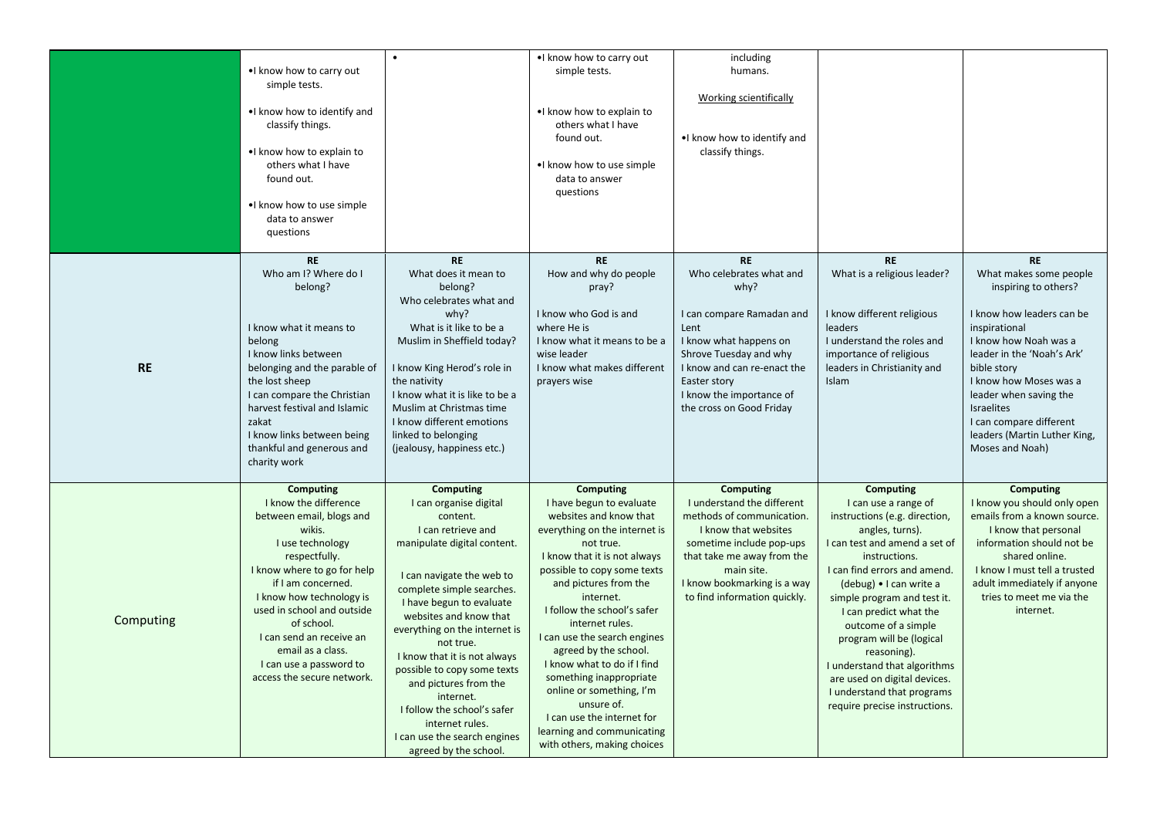|           | •I know how to carry out<br>simple tests.<br>. I know how to identify and<br>classify things.<br>. I know how to explain to<br>others what I have<br>found out.<br>. I know how to use simple<br>data to answer<br>questions                                                                                                                                | $\bullet$                                                                                                                                                                                                                                                                                                                                                                                                                                                                                 | . I know how to carry out<br>simple tests.<br>. I know how to explain to<br>others what I have<br>found out.<br>. I know how to use simple<br>data to answer<br>questions                                                                                                                                                                                                                                                                                                                                                           | including<br>humans.<br>Working scientifically<br>.I know how to identify and<br>classify things.                                                                                                                                            |                                                                                                                                                                                                                                                                                                                                                                                                                                                                     |                                                                                                                                                                                                                                                                                                                                        |
|-----------|-------------------------------------------------------------------------------------------------------------------------------------------------------------------------------------------------------------------------------------------------------------------------------------------------------------------------------------------------------------|-------------------------------------------------------------------------------------------------------------------------------------------------------------------------------------------------------------------------------------------------------------------------------------------------------------------------------------------------------------------------------------------------------------------------------------------------------------------------------------------|-------------------------------------------------------------------------------------------------------------------------------------------------------------------------------------------------------------------------------------------------------------------------------------------------------------------------------------------------------------------------------------------------------------------------------------------------------------------------------------------------------------------------------------|----------------------------------------------------------------------------------------------------------------------------------------------------------------------------------------------------------------------------------------------|---------------------------------------------------------------------------------------------------------------------------------------------------------------------------------------------------------------------------------------------------------------------------------------------------------------------------------------------------------------------------------------------------------------------------------------------------------------------|----------------------------------------------------------------------------------------------------------------------------------------------------------------------------------------------------------------------------------------------------------------------------------------------------------------------------------------|
| <b>RE</b> | <b>RE</b><br>Who am I? Where do I<br>belong?<br>I know what it means to<br>belong<br>I know links between<br>belonging and the parable of<br>the lost sheep<br>I can compare the Christian<br>harvest festival and Islamic<br>zakat<br>I know links between being<br>thankful and generous and<br>charity work                                              | <b>RE</b><br>What does it mean to<br>belong?<br>Who celebrates what and<br>why?<br>What is it like to be a<br>Muslim in Sheffield today?<br>I know King Herod's role in<br>the nativity<br>I know what it is like to be a<br>Muslim at Christmas time<br>I know different emotions<br>linked to belonging<br>(jealousy, happiness etc.)                                                                                                                                                   | <b>RE</b><br>How and why do people<br>pray?<br>I know who God is and<br>where He is<br>I know what it means to be a<br>wise leader<br>I know what makes different<br>prayers wise                                                                                                                                                                                                                                                                                                                                                   | <b>RE</b><br>Who celebrates what and<br>why?<br>I can compare Ramadan and<br>Lent<br>I know what happens on<br>Shrove Tuesday and why<br>I know and can re-enact the<br>Easter story<br>I know the importance of<br>the cross on Good Friday | <b>RE</b><br>What is a religious leader?<br>I know different religious<br>leaders<br>I understand the roles and<br>importance of religious<br>leaders in Christianity and<br>Islam                                                                                                                                                                                                                                                                                  | <b>RE</b><br>What makes some people<br>inspiring to others?<br>I know how leaders can be<br>inspirational<br>I know how Noah was a<br>leader in the 'Noah's Ark'<br>bible story<br>I know how Moses was a<br>leader when saving the<br><b>Israelites</b><br>I can compare different<br>leaders (Martin Luther King,<br>Moses and Noah) |
| Computing | <b>Computing</b><br>I know the difference<br>between email, blogs and<br>wikis.<br>I use technology<br>respectfully.<br>I know where to go for help<br>if I am concerned.<br>I know how technology is<br>used in school and outside<br>of school.<br>I can send an receive an<br>email as a class.<br>I can use a password to<br>access the secure network. | <b>Computing</b><br>I can organise digital<br>content.<br>I can retrieve and<br>manipulate digital content.<br>I can navigate the web to<br>complete simple searches.<br>I have begun to evaluate<br>websites and know that<br>everything on the internet is<br>not true.<br>I know that it is not always<br>possible to copy some texts<br>and pictures from the<br>internet.<br>I follow the school's safer<br>internet rules.<br>I can use the search engines<br>agreed by the school. | <b>Computing</b><br>I have begun to evaluate<br>websites and know that<br>everything on the internet is<br>not true.<br>I know that it is not always<br>possible to copy some texts<br>and pictures from the<br>internet.<br>I follow the school's safer<br>internet rules.<br>I can use the search engines<br>agreed by the school.<br>I know what to do if I find<br>something inappropriate<br>online or something, I'm<br>unsure of.<br>I can use the internet for<br>learning and communicating<br>with others, making choices | Computing<br>I understand the different<br>methods of communication.<br>I know that websites<br>sometime include pop-ups<br>that take me away from the<br>main site.<br>I know bookmarking is a way<br>to find information quickly.          | <b>Computing</b><br>I can use a range of<br>instructions (e.g. direction,<br>angles, turns).<br>I can test and amend a set of<br>instructions.<br>I can find errors and amend.<br>(debug) • I can write a<br>simple program and test it.<br>I can predict what the<br>outcome of a simple<br>program will be (logical<br>reasoning).<br>I understand that algorithms<br>are used on digital devices.<br>I understand that programs<br>require precise instructions. | Computing<br>I know you should only open<br>emails from a known source.<br>I know that personal<br>information should not be<br>shared online.<br>I know I must tell a trusted<br>adult immediately if anyone<br>tries to meet me via the<br>internet.                                                                                 |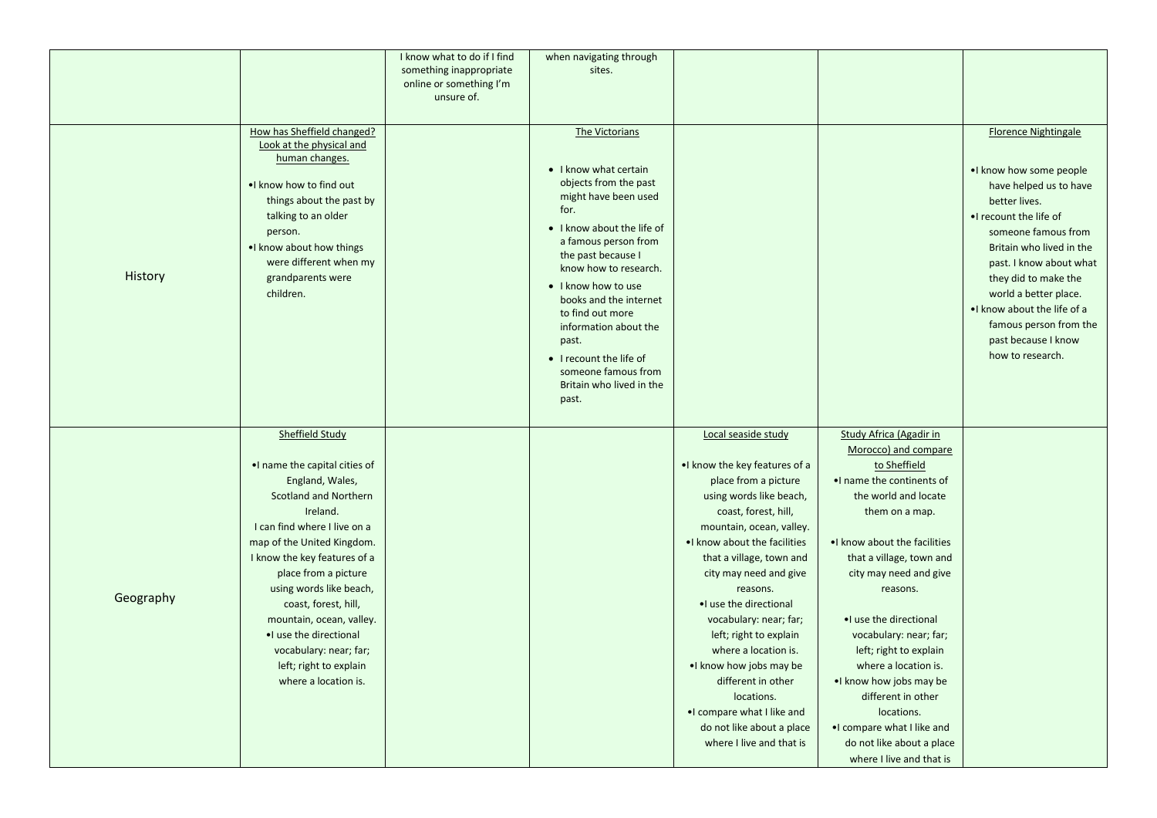|           |                                | I know what to do if I find | when navigating through                   |                                |                                |                              |
|-----------|--------------------------------|-----------------------------|-------------------------------------------|--------------------------------|--------------------------------|------------------------------|
|           |                                | something inappropriate     | sites.                                    |                                |                                |                              |
|           |                                | online or something I'm     |                                           |                                |                                |                              |
|           |                                | unsure of.                  |                                           |                                |                                |                              |
|           |                                |                             |                                           |                                |                                |                              |
|           | How has Sheffield changed?     |                             | The Victorians                            |                                |                                | <b>Florence Nightingale</b>  |
|           | Look at the physical and       |                             |                                           |                                |                                |                              |
|           | human changes.                 |                             | • I know what certain                     |                                |                                | . I know how some people     |
|           | . I know how to find out       |                             | objects from the past                     |                                |                                | have helped us to have       |
|           | things about the past by       |                             | might have been used                      |                                |                                | better lives.                |
|           | talking to an older            |                             | for.                                      |                                |                                | . I recount the life of      |
|           | person.                        |                             | • I know about the life of                |                                |                                | someone famous from          |
|           | . I know about how things      |                             | a famous person from                      |                                |                                | Britain who lived in the     |
|           | were different when my         |                             | the past because I                        |                                |                                | past. I know about what      |
| History   | grandparents were              |                             | know how to research.                     |                                |                                | they did to make the         |
|           | children.                      |                             | • I know how to use                       |                                |                                | world a better place.        |
|           |                                |                             | books and the internet                    |                                |                                | . I know about the life of a |
|           |                                |                             | to find out more<br>information about the |                                |                                | famous person from the       |
|           |                                |                             | past.                                     |                                |                                | past because I know          |
|           |                                |                             | • I recount the life of                   |                                |                                | how to research.             |
|           |                                |                             | someone famous from                       |                                |                                |                              |
|           |                                |                             | Britain who lived in the                  |                                |                                |                              |
|           |                                |                             | past.                                     |                                |                                |                              |
|           |                                |                             |                                           |                                |                                |                              |
|           | <b>Sheffield Study</b>         |                             |                                           | Local seaside study            | <b>Study Africa (Agadir in</b> |                              |
|           |                                |                             |                                           |                                | Morocco) and compare           |                              |
|           | . I name the capital cities of |                             |                                           | . I know the key features of a | to Sheffield                   |                              |
|           | England, Wales,                |                             |                                           | place from a picture           | . I name the continents of     |                              |
|           | <b>Scotland and Northern</b>   |                             |                                           | using words like beach,        | the world and locate           |                              |
|           | Ireland.                       |                             |                                           | coast, forest, hill,           | them on a map.                 |                              |
|           | I can find where I live on a   |                             |                                           | mountain, ocean, valley.       |                                |                              |
|           | map of the United Kingdom.     |                             |                                           | . I know about the facilities  | . I know about the facilities  |                              |
|           | I know the key features of a   |                             |                                           | that a village, town and       | that a village, town and       |                              |
|           | place from a picture           |                             |                                           | city may need and give         | city may need and give         |                              |
| Geography | using words like beach,        |                             |                                           | reasons.                       | reasons.                       |                              |
|           | coast, forest, hill,           |                             |                                           | •I use the directional         |                                |                              |
|           | mountain, ocean, valley.       |                             |                                           | vocabulary: near; far;         | •I use the directional         |                              |
|           | •I use the directional         |                             |                                           | left; right to explain         | vocabulary: near; far;         |                              |
|           | vocabulary: near; far;         |                             |                                           | where a location is.           | left; right to explain         |                              |
|           | left; right to explain         |                             |                                           | •I know how jobs may be        | where a location is.           |                              |
|           | where a location is.           |                             |                                           | different in other             | . I know how jobs may be       |                              |
|           |                                |                             |                                           | locations.                     | different in other             |                              |
|           |                                |                             |                                           | . I compare what I like and    | locations.                     |                              |
|           |                                |                             |                                           | do not like about a place      | . compare what I like and      |                              |
|           |                                |                             |                                           | where I live and that is       | do not like about a place      |                              |
|           |                                |                             |                                           |                                | where I live and that is       |                              |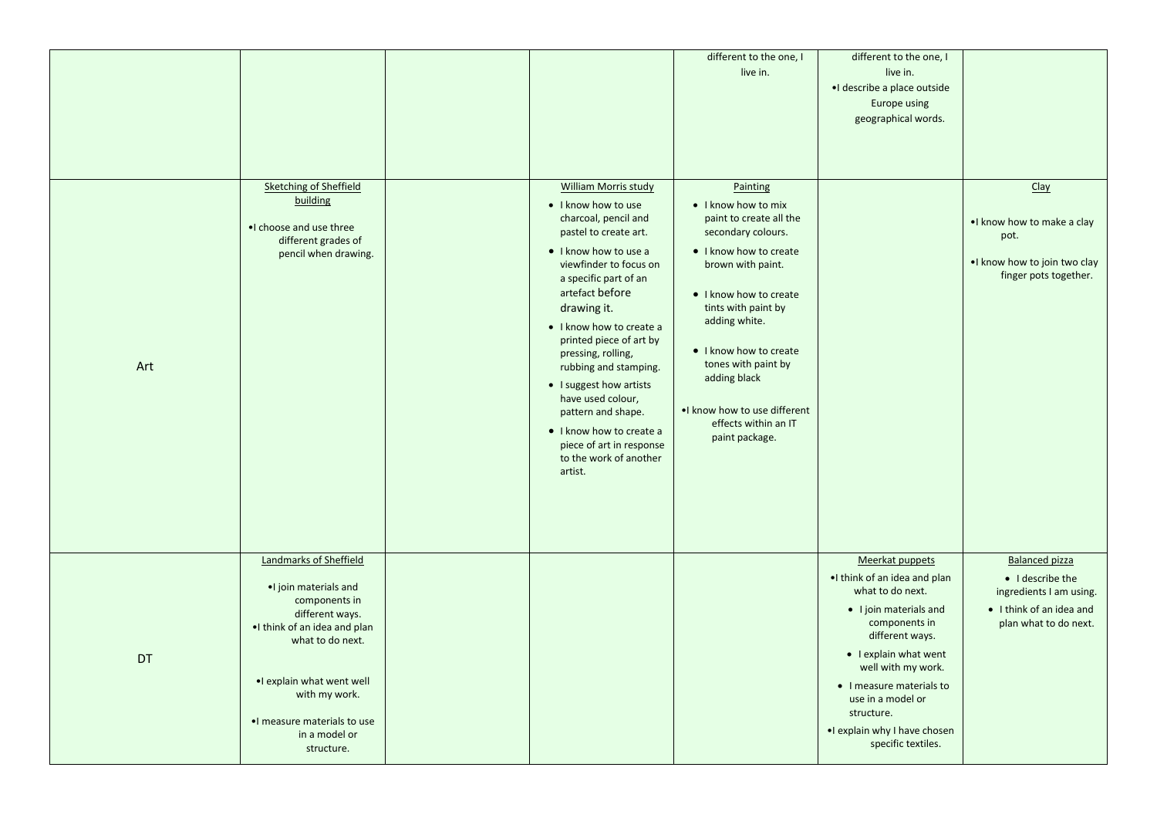|     |                                                                                                                                                                                                                                                     |                                                                                                                                                                                                                                                                                                                                                                                                                                                                                            | different to the one, I<br>live in.                                                                                                                                                                                                                                                                                                           | different to the one, I<br>live in.<br>·I describe a place outside<br>Europe using<br>geographical words.                                                                                                                                                                                             |                                                                                                                           |
|-----|-----------------------------------------------------------------------------------------------------------------------------------------------------------------------------------------------------------------------------------------------------|--------------------------------------------------------------------------------------------------------------------------------------------------------------------------------------------------------------------------------------------------------------------------------------------------------------------------------------------------------------------------------------------------------------------------------------------------------------------------------------------|-----------------------------------------------------------------------------------------------------------------------------------------------------------------------------------------------------------------------------------------------------------------------------------------------------------------------------------------------|-------------------------------------------------------------------------------------------------------------------------------------------------------------------------------------------------------------------------------------------------------------------------------------------------------|---------------------------------------------------------------------------------------------------------------------------|
| Art | <b>Sketching of Sheffield</b><br>building<br>. choose and use three<br>different grades of<br>pencil when drawing.                                                                                                                                  | <b>William Morris study</b><br>• I know how to use<br>charcoal, pencil and<br>pastel to create art.<br>• I know how to use a<br>viewfinder to focus on<br>a specific part of an<br>artefact before<br>drawing it.<br>• I know how to create a<br>printed piece of art by<br>pressing, rolling,<br>rubbing and stamping.<br>• I suggest how artists<br>have used colour,<br>pattern and shape.<br>• I know how to create a<br>piece of art in response<br>to the work of another<br>artist. | Painting<br>• I know how to mix<br>paint to create all the<br>secondary colours.<br>• I know how to create<br>brown with paint.<br>• I know how to create<br>tints with paint by<br>adding white.<br>• I know how to create<br>tones with paint by<br>adding black<br>. I know how to use different<br>effects within an IT<br>paint package. |                                                                                                                                                                                                                                                                                                       | <b>Clay</b><br>. I know how to make a clay<br>pot.<br>. I know how to join two clay<br>finger pots together.              |
| DT  | Landmarks of Sheffield<br>. join materials and<br>components in<br>different ways.<br>. I think of an idea and plan<br>what to do next.<br>. explain what went well<br>with my work.<br>. I measure materials to use<br>in a model or<br>structure. |                                                                                                                                                                                                                                                                                                                                                                                                                                                                                            |                                                                                                                                                                                                                                                                                                                                               | Meerkat puppets<br>. I think of an idea and plan<br>what to do next.<br>• I join materials and<br>components in<br>different ways.<br>• I explain what went<br>well with my work.<br>• I measure materials to<br>use in a model or<br>structure.<br>. explain why I have chosen<br>specific textiles. | <b>Balanced pizza</b><br>• I describe the<br>ingredients I am using.<br>• I think of an idea and<br>plan what to do next. |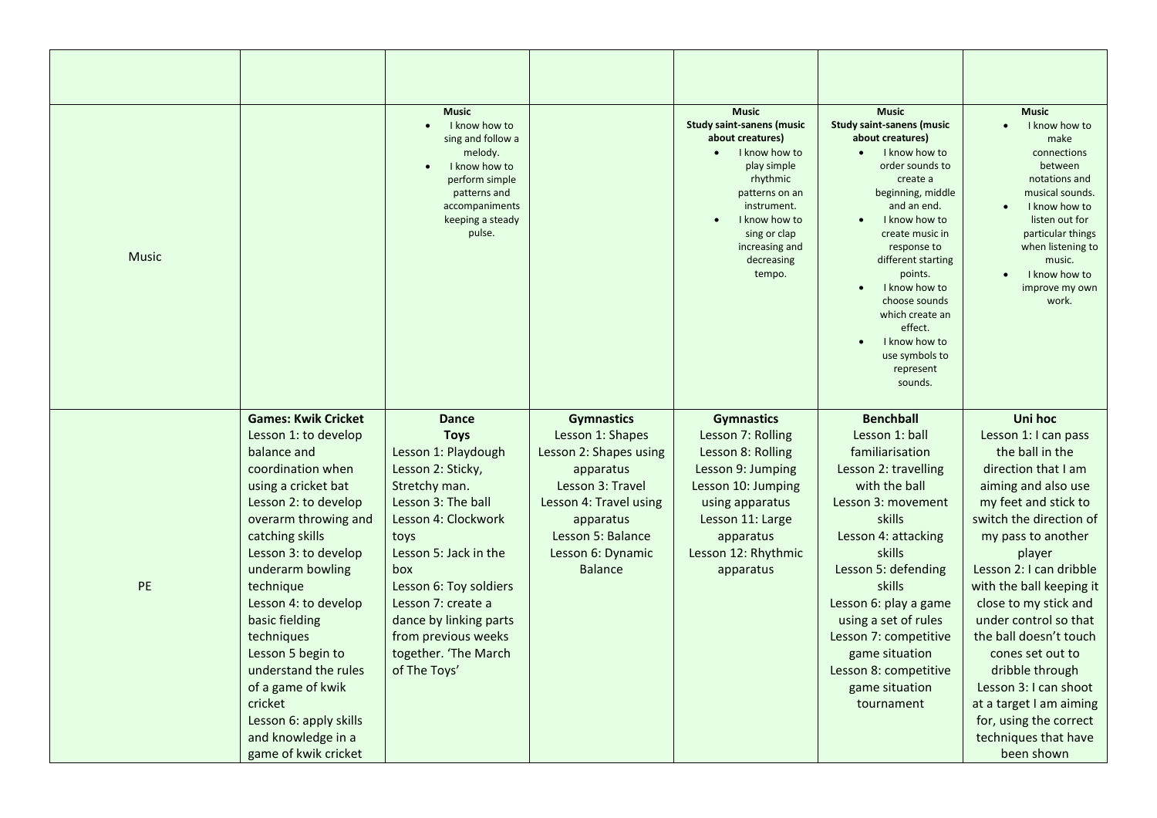| <b>Music</b> |                                                                                                                                                                                                                                                                                                                                                                                                                                                        | <b>Music</b><br>I know how to<br>$\bullet$<br>sing and follow a<br>melody.<br>I know how to<br>perform simple<br>patterns and<br>accompaniments<br>keeping a steady<br>pulse.                                                                                                                                          |                                                                                                                                                                                                     | <b>Music</b><br><b>Study saint-sanens (music</b><br>about creatures)<br>I know how to<br>play simple<br>rhythmic<br>patterns on an<br>instrument.<br>I know how to<br>sing or clap<br>increasing and<br>decreasing<br>tempo. | <b>Music</b><br><b>Study saint-sanens (music</b><br>about creatures)<br>I know how to<br>order sounds to<br>create a<br>beginning, middle<br>and an end.<br>I know how to<br>create music in<br>response to<br>different starting<br>points.<br>I know how to<br>choose sounds<br>which create an<br>effect.<br>I know how to<br>use symbols to<br>represent<br>sounds. | <b>Music</b><br>I know how to<br>make<br>connections<br>between<br>notations and<br>musical sounds.<br>I know how to<br>listen out for<br>particular things<br>when listening to<br>music.<br>I know how to<br>improve my own<br>work.                                                                                                                                                                                                                                            |
|--------------|--------------------------------------------------------------------------------------------------------------------------------------------------------------------------------------------------------------------------------------------------------------------------------------------------------------------------------------------------------------------------------------------------------------------------------------------------------|------------------------------------------------------------------------------------------------------------------------------------------------------------------------------------------------------------------------------------------------------------------------------------------------------------------------|-----------------------------------------------------------------------------------------------------------------------------------------------------------------------------------------------------|------------------------------------------------------------------------------------------------------------------------------------------------------------------------------------------------------------------------------|-------------------------------------------------------------------------------------------------------------------------------------------------------------------------------------------------------------------------------------------------------------------------------------------------------------------------------------------------------------------------|-----------------------------------------------------------------------------------------------------------------------------------------------------------------------------------------------------------------------------------------------------------------------------------------------------------------------------------------------------------------------------------------------------------------------------------------------------------------------------------|
| PE           | <b>Games: Kwik Cricket</b><br>Lesson 1: to develop<br>balance and<br>coordination when<br>using a cricket bat<br>Lesson 2: to develop<br>overarm throwing and<br>catching skills<br>Lesson 3: to develop<br>underarm bowling<br>technique<br>Lesson 4: to develop<br>basic fielding<br>techniques<br>Lesson 5 begin to<br>understand the rules<br>of a game of kwik<br>cricket<br>Lesson 6: apply skills<br>and knowledge in a<br>game of kwik cricket | <b>Dance</b><br><b>Toys</b><br>Lesson 1: Playdough<br>Lesson 2: Sticky,<br>Stretchy man.<br>Lesson 3: The ball<br>Lesson 4: Clockwork<br>toys<br>Lesson 5: Jack in the<br>box<br>Lesson 6: Toy soldiers<br>Lesson 7: create a<br>dance by linking parts<br>from previous weeks<br>together. 'The March<br>of The Toys' | <b>Gymnastics</b><br>Lesson 1: Shapes<br>Lesson 2: Shapes using<br>apparatus<br>Lesson 3: Travel<br>Lesson 4: Travel using<br>apparatus<br>Lesson 5: Balance<br>Lesson 6: Dynamic<br><b>Balance</b> | <b>Gymnastics</b><br>Lesson 7: Rolling<br>Lesson 8: Rolling<br>Lesson 9: Jumping<br>Lesson 10: Jumping<br>using apparatus<br>Lesson 11: Large<br>apparatus<br>Lesson 12: Rhythmic<br>apparatus                               | <b>Benchball</b><br>Lesson 1: ball<br>familiarisation<br>Lesson 2: travelling<br>with the ball<br>Lesson 3: movement<br>skills<br>Lesson 4: attacking<br>skills<br>Lesson 5: defending<br>skills<br>Lesson 6: play a game<br>using a set of rules<br>Lesson 7: competitive<br>game situation<br>Lesson 8: competitive<br>game situation<br>tournament                   | Uni hoc<br>Lesson 1: I can pass<br>the ball in the<br>direction that I am<br>aiming and also use<br>my feet and stick to<br>switch the direction of<br>my pass to another<br>player<br>Lesson 2: I can dribble<br>with the ball keeping it<br>close to my stick and<br>under control so that<br>the ball doesn't touch<br>cones set out to<br>dribble through<br>Lesson 3: I can shoot<br>at a target I am aiming<br>for, using the correct<br>techniques that have<br>been shown |